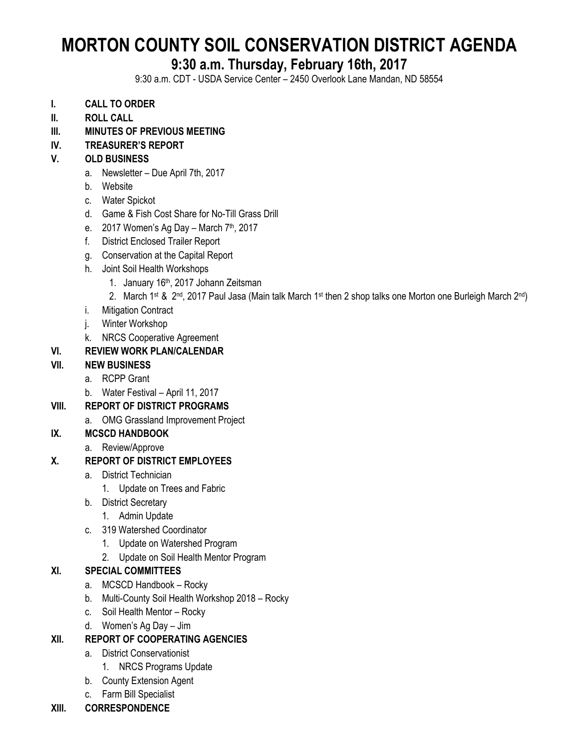# **MORTON COUNTY SOIL CONSERVATION DISTRICT AGENDA**

# **9:30 a.m. Thursday, February 16th, 2017**

9:30 a.m. CDT - USDA Service Center – 2450 Overlook Lane Mandan, ND 58554

- **I. CALL TO ORDER**
- **II. ROLL CALL**
- **III. MINUTES OF PREVIOUS MEETING**

# **IV. TREASURER'S REPORT**

# **V. OLD BUSINESS**

- a. Newsletter Due April 7th, 2017
- b. Website
- c. Water Spickot
- d. Game & Fish Cost Share for No-Till Grass Drill
- e.  $2017$  Women's Ag Day March 7<sup>th</sup>, 2017
- f. District Enclosed Trailer Report
- g. Conservation at the Capital Report
- h. Joint Soil Health Workshops
	- 1. January 16th, 2017 Johann Zeitsman
	- 2. March 1st & 2nd, 2017 Paul Jasa (Main talk March 1st then 2 shop talks one Morton one Burleigh March 2nd)
- i. Mitigation Contract
- j. Winter Workshop
- k. NRCS Cooperative Agreement

### **VI. REVIEW WORK PLAN/CALENDAR**

#### **VII. NEW BUSINESS**

- a. RCPP Grant
- b. Water Festival April 11, 2017

### **VIII. REPORT OF DISTRICT PROGRAMS**

a. OMG Grassland Improvement Project

# **IX. MCSCD HANDBOOK**

a. Review/Approve

#### **X. REPORT OF DISTRICT EMPLOYEES**

- a. District Technician
	- 1. Update on Trees and Fabric
- b. District Secretary
	- 1. Admin Update
- c. 319 Watershed Coordinator
	- 1. Update on Watershed Program
	- 2. Update on Soil Health Mentor Program

#### **XI. SPECIAL COMMITTEES**

- a. MCSCD Handbook Rocky
- b. Multi-County Soil Health Workshop 2018 Rocky
- c. Soil Health Mentor Rocky
- d. Women's Ag Day Jim

### **XII. REPORT OF COOPERATING AGENCIES**

- a. District Conservationist
	- 1. NRCS Programs Update
- b. County Extension Agent
- c. Farm Bill Specialist

#### **XIII. CORRESPONDENCE**